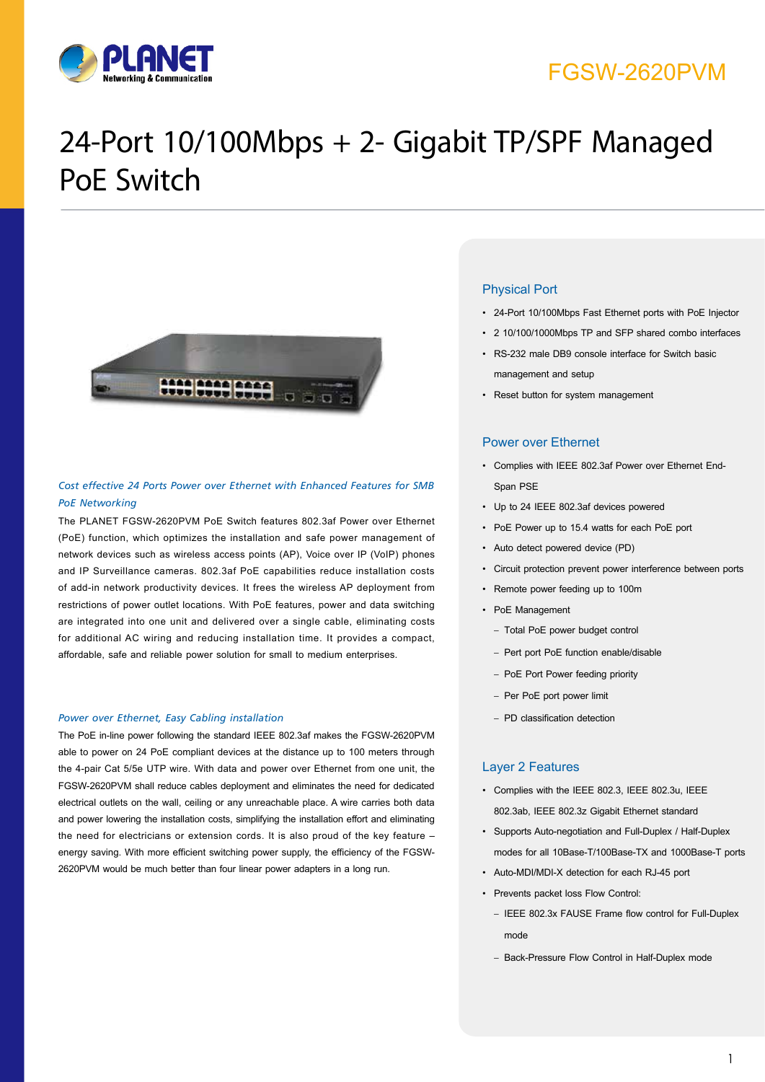

### FGSW-2620PVM

# 24-Port 10/100Mbps + 2- Gigabit TP/SPF Managed PoE Switch



#### *Cost effective 24 Ports Power over Ethernet with Enhanced Features for SMB PoE Networking*

The PLANET FGSW-2620PVM PoE Switch features 802.3af Power over Ethernet (PoE) function, which optimizes the installation and safe power management of network devices such as wireless access points (AP), Voice over IP (VoIP) phones and IP Surveillance cameras. 802.3af PoE capabilities reduce installation costs of add-in network productivity devices. It frees the wireless AP deployment from restrictions of power outlet locations. With PoE features, power and data switching are integrated into one unit and delivered over a single cable, eliminating costs for additional AC wiring and reducing installation time. It provides a compact, affordable, safe and reliable power solution for small to medium enterprises.

#### *Power over Ethernet, Easy Cabling installation*

The PoE in-line power following the standard IEEE 802.3af makes the FGSW-2620PVM able to power on 24 PoE compliant devices at the distance up to 100 meters through the 4-pair Cat 5/5e UTP wire. With data and power over Ethernet from one unit, the FGSW-2620PVM shall reduce cables deployment and eliminates the need for dedicated electrical outlets on the wall, ceiling or any unreachable place. A wire carries both data and power lowering the installation costs, simplifying the installation effort and eliminating the need for electricians or extension cords. It is also proud of the key feature – energy saving. With more efficient switching power supply, the efficiency of the FGSW-2620PVM would be much better than four linear power adapters in a long run.

#### Physical Port

- • 24-Port 10/100Mbps Fast Ethernet ports with PoE Injector
- • 2 10/100/1000Mbps TP and SFP shared combo interfaces
- • RS-232 male DB9 console interface for Switch basic management and setup
- • Reset button for system management

#### Power over Ethernet

- • Complies with IEEE 802.3af Power over Ethernet End-Span PSE
- • Up to 24 IEEE 802.3af devices powered
- • PoE Power up to 15.4 watts for each PoE port
- • Auto detect powered device (PD)
- • Circuit protection prevent power interference between ports
- • Remote power feeding up to 100m
- PoE Management
	- Total PoE power budget control
	- Pert port PoE function enable/disable
	- PoE Port Power feeding priority
	- Per PoE port power limit
	- PD classification detection

#### Layer 2 Features

- • Complies with the IEEE 802.3, IEEE 802.3u, IEEE 802.3ab, IEEE 802.3z Gigabit Ethernet standard
- • Supports Auto-negotiation and Full-Duplex / Half-Duplex modes for all 10Base-T/100Base-TX and 1000Base-T ports
- • Auto-MDI/MDI-X detection for each RJ-45 port
- • Prevents packet loss Flow Control:
	- IEEE 802.3x FAUSE Frame flow control for Full-Duplex mode
	- Back-Pressure Flow Control in Half-Duplex mode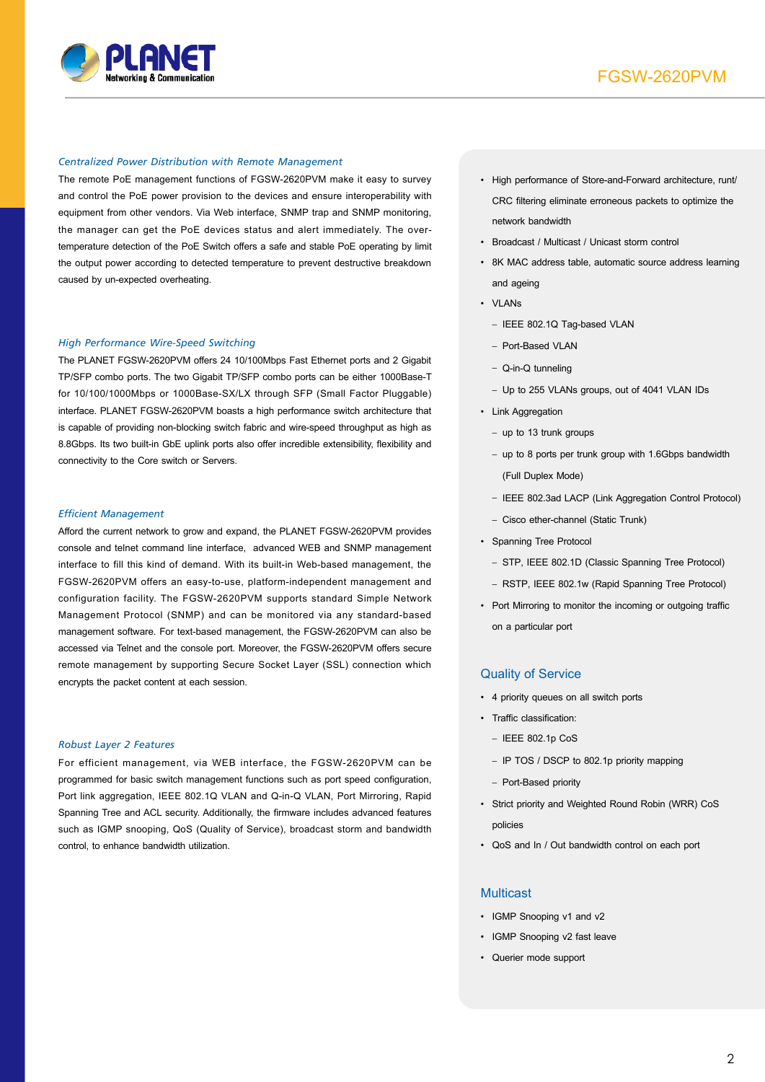

#### *Centralized Power Distribution with Remote Management*

The remote PoE management functions of FGSW-2620PVM make it easy to survey and control the PoE power provision to the devices and ensure interoperability with equipment from other vendors. Via Web interface, SNMP trap and SNMP monitoring, the manager can get the PoE devices status and alert immediately. The overtemperature detection of the PoE Switch offers a safe and stable PoE operating by limit the output power according to detected temperature to prevent destructive breakdown caused by un-expected overheating.

#### *High Performance Wire-Speed Switching*

The PLANET FGSW-2620PVM offers 24 10/100Mbps Fast Ethernet ports and 2 Gigabit TP/SFP combo ports. The two Gigabit TP/SFP combo ports can be either 1000Base-T for 10/100/1000Mbps or 1000Base-SX/LX through SFP (Small Factor Pluggable) interface. PLANET FGSW-2620PVM boasts a high performance switch architecture that is capable of providing non-blocking switch fabric and wire-speed throughput as high as 8.8Gbps. Its two built-in GbE uplink ports also offer incredible extensibility, flexibility and connectivity to the Core switch or Servers.

#### *Efficient Management*

Afford the current network to grow and expand, the PLANET FGSW-2620PVM provides console and telnet command line interface, advanced WEB and SNMP management interface to fill this kind of demand. With its built-in Web-based management, the FGSW-2620PVM offers an easy-to-use, platform-independent management and configuration facility. The FGSW-2620PVM supports standard Simple Network Management Protocol (SNMP) and can be monitored via any standard-based management software. For text-based management, the FGSW-2620PVM can also be accessed via Telnet and the console port. Moreover, the FGSW-2620PVM offers secure remote management by supporting Secure Socket Layer (SSL) connection which encrypts the packet content at each session.

#### *Robust Layer 2 Features*

For efficient management, via WEB interface, the FGSW-2620PVM can be programmed for basic switch management functions such as port speed configuration, Port link aggregation, IEEE 802.1Q VLAN and Q-in-Q VLAN, Port Mirroring, Rapid Spanning Tree and ACL security. Additionally, the firmware includes advanced features such as IGMP snooping, QoS (Quality of Service), broadcast storm and bandwidth control, to enhance bandwidth utilization.

- • High performance of Store-and-Forward architecture, runt/ CRC filtering eliminate erroneous packets to optimize the network bandwidth
- • Broadcast / Multicast / Unicast storm control
- • 8K MAC address table, automatic source address learning and ageing
- • VLANs
	- IEEE 802.1Q Tag-based VLAN
	- Port-Based VLAN
	- Q-in-Q tunneling
	- Up to 255 VLANs groups, out of 4041 VLAN IDs
- Link Aggregation
	- up to 13 trunk groups
	- up to 8 ports per trunk group with 1.6Gbps bandwidth (Full Duplex Mode)
	- IEEE 802.3ad LACP (Link Aggregation Control Protocol)
	- Cisco ether-channel (Static Trunk)
- • Spanning Tree Protocol
	- STP, IEEE 802.1D (Classic Spanning Tree Protocol)
	- RSTP, IEEE 802.1w (Rapid Spanning Tree Protocol)
- Port Mirroring to monitor the incoming or outgoing traffic on a particular port

#### Quality of Service

- • 4 priority queues on all switch ports
- • Traffic classification:
	- IEEE 802.1p CoS
	- IP TOS / DSCP to 802.1p priority mapping
	- Port-Based priority
- • Strict priority and Weighted Round Robin (WRR) CoS policies
- • QoS and In / Out bandwidth control on each port

#### **Multicast**

- IGMP Snooping v1 and v2
- • IGMP Snooping v2 fast leave
- • Querier mode support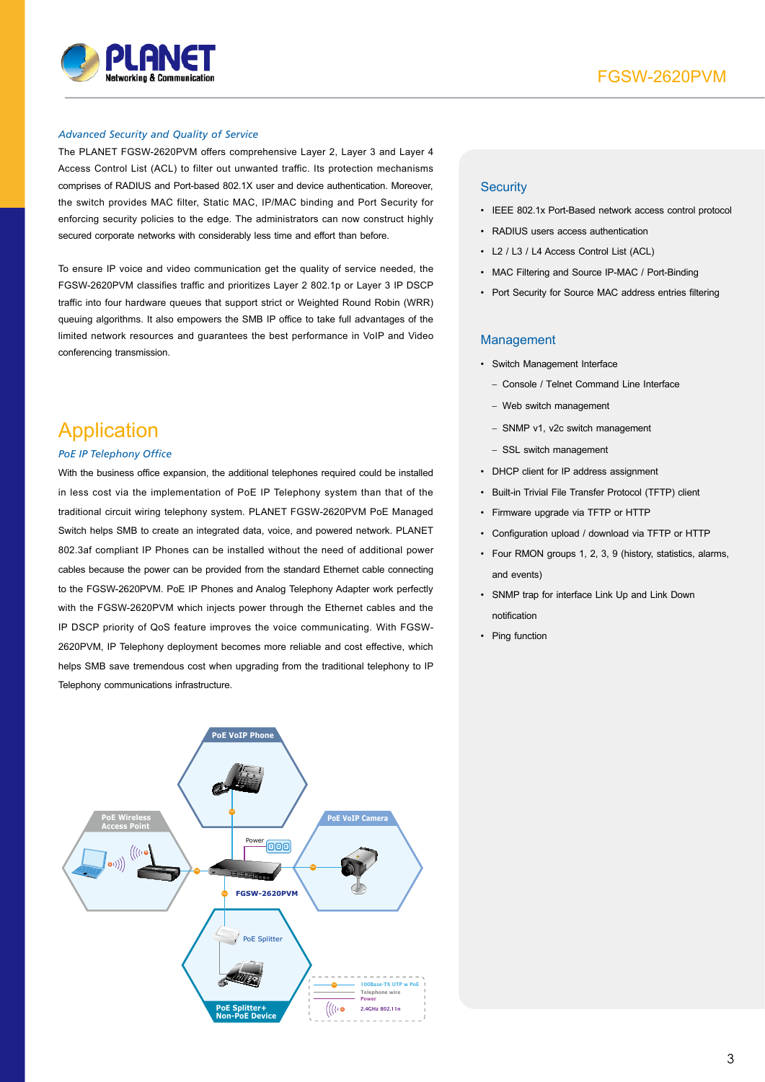

#### *Advanced Security and Quality of Service*

The PLANET FGSW-2620PVM offers comprehensive Layer 2, Layer 3 and Layer 4 Access Control List (ACL) to filter out unwanted traffic. Its protection mechanisms comprises of RADIUS and Port-based 802.1X user and device authentication. Moreover, the switch provides MAC filter, Static MAC, IP/MAC binding and Port Security for enforcing security policies to the edge. The administrators can now construct highly secured corporate networks with considerably less time and effort than before.

To ensure IP voice and video communication get the quality of service needed, the FGSW-2620PVM classifies traffic and prioritizes Layer 2 802.1p or Layer 3 IP DSCP traffic into four hardware queues that support strict or Weighted Round Robin (WRR) queuing algorithms. It also empowers the SMB IP office to take full advantages of the limited network resources and guarantees the best performance in VoIP and Video conferencing transmission.

### Application

#### *PoE IP Telephony Office*

With the business office expansion, the additional telephones required could be installed in less cost via the implementation of PoE IP Telephony system than that of the traditional circuit wiring telephony system. PLANET FGSW-2620PVM PoE Managed Switch helps SMB to create an integrated data, voice, and powered network. PLANET 802.3af compliant IP Phones can be installed without the need of additional power cables because the power can be provided from the standard Ethernet cable connecting to the FGSW-2620PVM. PoE IP Phones and Analog Telephony Adapter work perfectly with the FGSW-2620PVM which injects power through the Ethernet cables and the IP DSCP priority of QoS feature improves the voice communicating. With FGSW-2620PVM, IP Telephony deployment becomes more reliable and cost effective, which helps SMB save tremendous cost when upgrading from the traditional telephony to IP Telephony communications infrastructure.



#### **Security**

- • IEEE 802.1x Port-Based network access control protocol
- • RADIUS users access authentication
- • L2 / L3 / L4 Access Control List (ACL)
- MAC Filtering and Source IP-MAC / Port-Binding
- Port Security for Source MAC address entries filtering

#### Management

- • Switch Management Interface
	- Console / Telnet Command Line Interface
	- Web switch management
	- SNMP v1, v2c switch management
	- SSL switch management
- • DHCP client for IP address assignment
- • Built-in Trivial File Transfer Protocol (TFTP) client
- • Firmware upgrade via TFTP or HTTP
- • Configuration upload / download via TFTP or HTTP
- • Four RMON groups 1, 2, 3, 9 (history, statistics, alarms, and events)
- • SNMP trap for interface Link Up and Link Down notification
- Ping function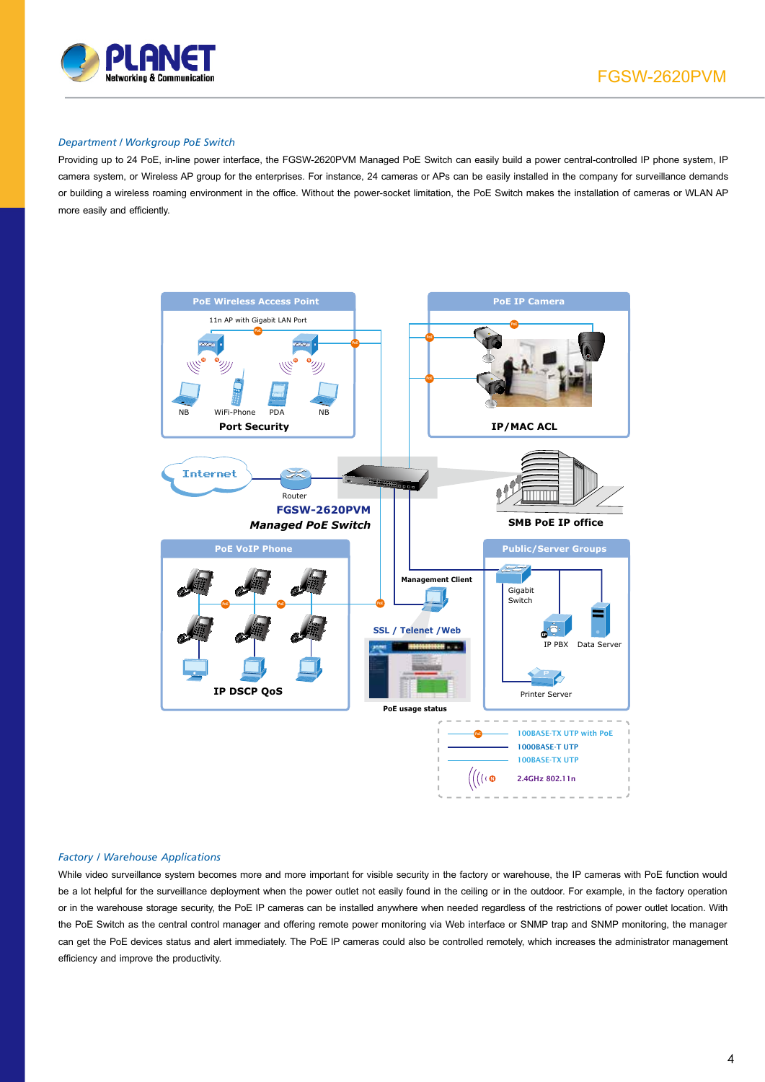

#### *Department / Workgroup PoE Switch*

Providing up to 24 PoE, in-line power interface, the FGSW-2620PVM Managed PoE Switch can easily build a power central-controlled IP phone system, IP camera system, or Wireless AP group for the enterprises. For instance, 24 cameras or APs can be easily installed in the company for surveillance demands or building a wireless roaming environment in the office. Without the power-socket limitation, the PoE Switch makes the installation of cameras or WLAN AP more easily and efficiently.



#### *Factory / Warehouse Applications*

While video surveillance system becomes more and more important for visible security in the factory or warehouse, the IP cameras with PoE function would be a lot helpful for the surveillance deployment when the power outlet not easily found in the ceiling or in the outdoor. For example, in the factory operation or in the warehouse storage security, the PoE IP cameras can be installed anywhere when needed regardless of the restrictions of power outlet location. With the PoE Switch as the central control manager and offering remote power monitoring via Web interface or SNMP trap and SNMP monitoring, the manager can get the PoE devices status and alert immediately. The PoE IP cameras could also be controlled remotely, which increases the administrator management efficiency and improve the productivity.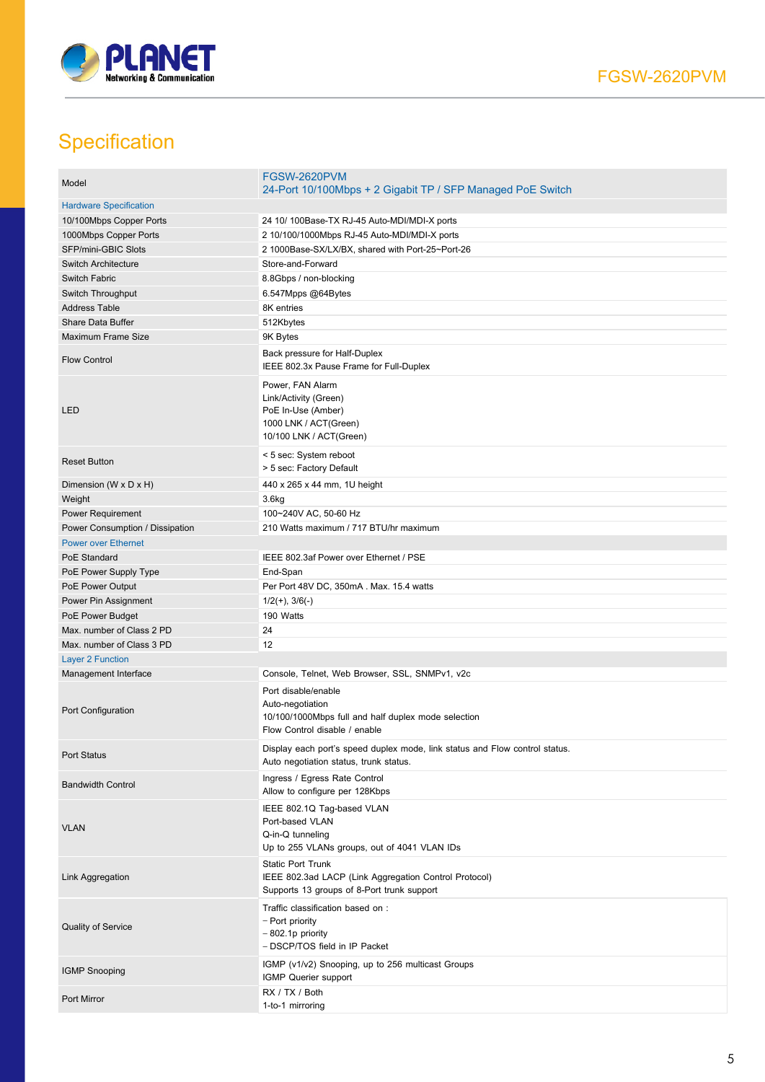

# **Specification**

| Model                           | <b>FGSW-2620PVM</b><br>24-Port 10/100Mbps + 2 Gigabit TP / SFP Managed PoE Switch                                               |
|---------------------------------|---------------------------------------------------------------------------------------------------------------------------------|
| <b>Hardware Specification</b>   |                                                                                                                                 |
| 10/100Mbps Copper Ports         | 24 10/ 100Base-TX RJ-45 Auto-MDI/MDI-X ports                                                                                    |
| 1000Mbps Copper Ports           | 2 10/100/1000Mbps RJ-45 Auto-MDI/MDI-X ports                                                                                    |
| SFP/mini-GBIC Slots             | 2 1000Base-SX/LX/BX, shared with Port-25~Port-26                                                                                |
| <b>Switch Architecture</b>      | Store-and-Forward                                                                                                               |
| Switch Fabric                   | 8.8Gbps / non-blocking                                                                                                          |
| Switch Throughput               | 6.547Mpps @64Bytes                                                                                                              |
| <b>Address Table</b>            | 8K entries                                                                                                                      |
| Share Data Buffer               | 512Kbytes                                                                                                                       |
| Maximum Frame Size              | 9K Bytes                                                                                                                        |
| <b>Flow Control</b>             | Back pressure for Half-Duplex<br>IEEE 802.3x Pause Frame for Full-Duplex                                                        |
| LED                             | Power, FAN Alarm<br>Link/Activity (Green)<br>PoE In-Use (Amber)<br>1000 LNK / ACT(Green)<br>10/100 LNK / ACT(Green)             |
| <b>Reset Button</b>             | < 5 sec: System reboot<br>> 5 sec: Factory Default                                                                              |
| Dimension (W x D x H)           | 440 x 265 x 44 mm, 1U height                                                                                                    |
| Weight                          | 3.6 <sub>kg</sub>                                                                                                               |
| Power Requirement               | 100~240V AC, 50-60 Hz                                                                                                           |
| Power Consumption / Dissipation | 210 Watts maximum / 717 BTU/hr maximum                                                                                          |
| <b>Power over Ethernet</b>      |                                                                                                                                 |
| PoE Standard                    | IEEE 802.3af Power over Ethernet / PSE                                                                                          |
| PoE Power Supply Type           | End-Span                                                                                                                        |
| PoE Power Output                | Per Port 48V DC, 350mA. Max. 15.4 watts                                                                                         |
| Power Pin Assignment            | $1/2(+)$ , $3/6(-)$                                                                                                             |
| PoE Power Budget                | 190 Watts                                                                                                                       |
| Max. number of Class 2 PD       | 24                                                                                                                              |
| Max. number of Class 3 PD       | 12                                                                                                                              |
| <b>Layer 2 Function</b>         |                                                                                                                                 |
| Management Interface            | Console, Telnet, Web Browser, SSL, SNMPv1, v2c                                                                                  |
| Port Configuration              | Port disable/enable<br>Auto-negotiation<br>10/100/1000Mbps full and half duplex mode selection<br>Flow Control disable / enable |
| Port Status                     | Display each port's speed duplex mode, link status and Flow control status.<br>Auto negotiation status, trunk status.           |
| <b>Bandwidth Control</b>        | Ingress / Egress Rate Control<br>Allow to configure per 128Kbps                                                                 |
| <b>VLAN</b>                     | IEEE 802.1Q Tag-based VLAN<br>Port-based VLAN<br>Q-in-Q tunneling<br>Up to 255 VLANs groups, out of 4041 VLAN IDs               |
| Link Aggregation                | <b>Static Port Trunk</b><br>IEEE 802.3ad LACP (Link Aggregation Control Protocol)<br>Supports 13 groups of 8-Port trunk support |
| <b>Quality of Service</b>       | Traffic classification based on :<br>– Port priority<br>$-802.1p$ priority<br>- DSCP/TOS field in IP Packet                     |
| <b>IGMP Snooping</b>            | IGMP (v1/v2) Snooping, up to 256 multicast Groups<br>IGMP Querier support                                                       |
| Port Mirror                     | RX / TX / Both<br>1-to-1 mirroring                                                                                              |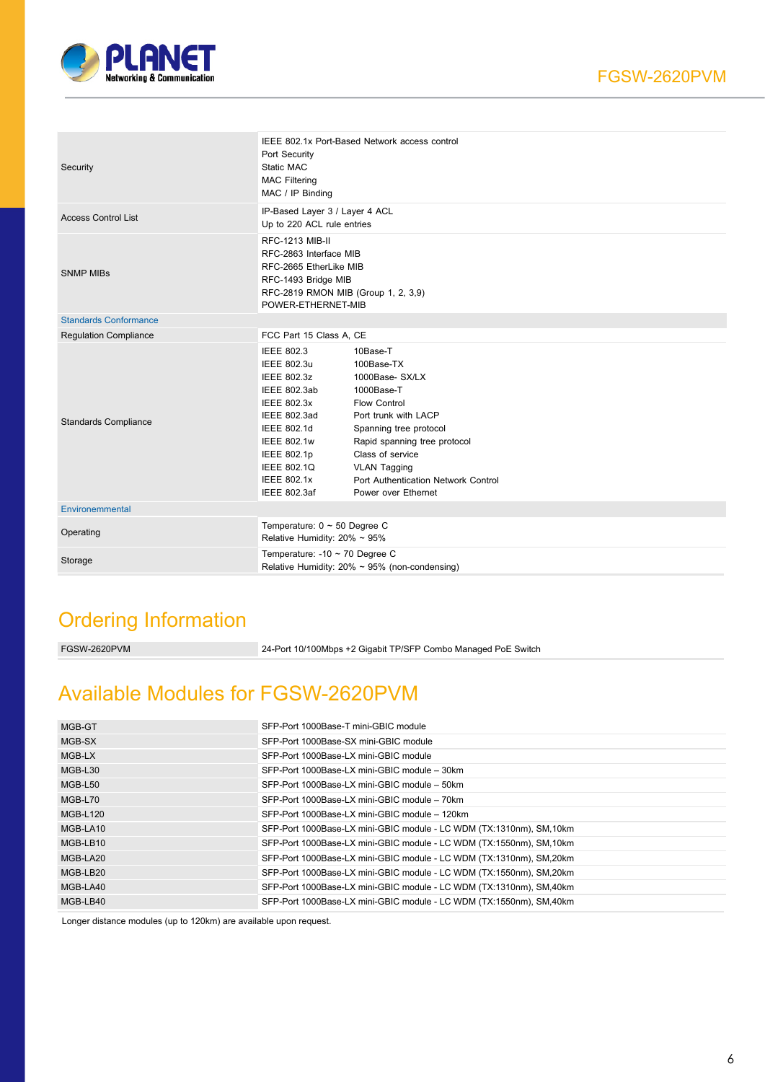

| Security                     | IEEE 802.1x Port-Based Network access control<br>Port Security<br>Static MAC<br><b>MAC Filtering</b><br>MAC / IP Binding                                                                                                                          |                                                                                                                                                                                                                                                                           |  |
|------------------------------|---------------------------------------------------------------------------------------------------------------------------------------------------------------------------------------------------------------------------------------------------|---------------------------------------------------------------------------------------------------------------------------------------------------------------------------------------------------------------------------------------------------------------------------|--|
| <b>Access Control List</b>   | IP-Based Layer 3 / Layer 4 ACL<br>Up to 220 ACL rule entries                                                                                                                                                                                      |                                                                                                                                                                                                                                                                           |  |
| <b>SNMP MIBs</b>             | <b>RFC-1213 MIB-II</b><br>RFC-2863 Interface MIB<br>RFC-2665 EtherLike MIB<br>RFC-1493 Bridge MIB<br>RFC-2819 RMON MIB (Group 1, 2, 3,9)<br>POWER-ETHERNET-MIB                                                                                    |                                                                                                                                                                                                                                                                           |  |
| <b>Standards Conformance</b> |                                                                                                                                                                                                                                                   |                                                                                                                                                                                                                                                                           |  |
| <b>Regulation Compliance</b> | FCC Part 15 Class A, CE                                                                                                                                                                                                                           |                                                                                                                                                                                                                                                                           |  |
| <b>Standards Compliance</b>  | <b>IEEE 802.3</b><br><b>IEEE 802.3u</b><br><b>IEEE 802.3z</b><br>IEEE 802.3ab<br><b>IEEE 802.3x</b><br><b>IEEE 802.3ad</b><br>IEEE 802.1d<br><b>IEEE 802.1w</b><br><b>IEEE 802.1p</b><br><b>IEEE 802.1Q</b><br><b>IEEE 802.1x</b><br>IEEE 802.3af | 10Base-T<br>100Base-TX<br>1000Base- SX/LX<br>1000Base-T<br><b>Flow Control</b><br>Port trunk with LACP<br>Spanning tree protocol<br>Rapid spanning tree protocol<br>Class of service<br><b>VLAN Tagging</b><br>Port Authentication Network Control<br>Power over Ethernet |  |
| Environemmental              |                                                                                                                                                                                                                                                   |                                                                                                                                                                                                                                                                           |  |
| Operating                    | Temperature: $0 \sim 50$ Degree C<br>Relative Humidity: $20\% \sim 95\%$                                                                                                                                                                          |                                                                                                                                                                                                                                                                           |  |
| Storage                      | Temperature: -10 $\sim$ 70 Degree C<br>Relative Humidity: $20\% \sim 95\%$ (non-condensing)                                                                                                                                                       |                                                                                                                                                                                                                                                                           |  |

## Ordering Information

| FGSW-2620PVM | 24-Port 10/100Mbps +2 Gigabit TP/SFP Combo Managed PoE Switch |
|--------------|---------------------------------------------------------------|
|              |                                                               |

# Available Modules for FGSW-2620PVM

| MGB-GT          | SFP-Port 1000Base-T mini-GBIC module                                 |
|-----------------|----------------------------------------------------------------------|
| MGB-SX          | SFP-Port 1000Base-SX mini-GBIC module                                |
| MGB-LX          | SFP-Port 1000Base-LX mini-GBIC module                                |
| MGB-L30         | SFP-Port 1000Base-LX mini-GBIC module - 30km                         |
| MGB-L50         | SFP-Port 1000Base-LX mini-GBIC module - 50km                         |
| MGB-L70         | SFP-Port 1000Base-LX mini-GBIC module - 70km                         |
| <b>MGB-L120</b> | SFP-Port 1000Base-LX mini-GBIC module - 120km                        |
| MGB-LA10        | SFP-Port 1000Base-LX mini-GBIC module - LC WDM (TX:1310nm), SM, 10km |
| MGB-LB10        | SFP-Port 1000Base-LX mini-GBIC module - LC WDM (TX:1550nm), SM, 10km |
| MGB-LA20        | SFP-Port 1000Base-LX mini-GBIC module - LC WDM (TX:1310nm), SM, 20km |
| MGB-LB20        | SFP-Port 1000Base-LX mini-GBIC module - LC WDM (TX:1550nm), SM, 20km |
| MGB-LA40        | SFP-Port 1000Base-LX mini-GBIC module - LC WDM (TX:1310nm), SM,40km  |
| MGB-LB40        | SFP-Port 1000Base-LX mini-GBIC module - LC WDM (TX:1550nm), SM,40km  |

Longer distance modules (up to 120km) are available upon request.